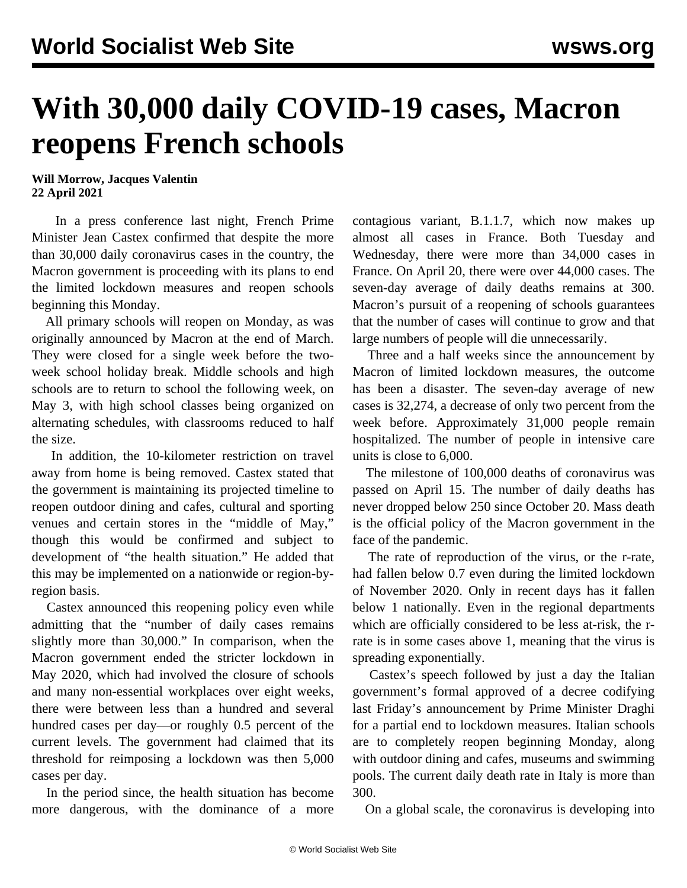## **With 30,000 daily COVID-19 cases, Macron reopens French schools**

**Will Morrow, Jacques Valentin 22 April 2021**

 In a press conference last night, French Prime Minister Jean Castex confirmed that despite the more than 30,000 daily coronavirus cases in the country, the Macron government is proceeding with its plans to end the limited lockdown measures and reopen schools beginning this Monday.

 All primary schools will reopen on Monday, as was originally announced by Macron at the end of March. They were closed for a single week before the twoweek school holiday break. Middle schools and high schools are to return to school the following week, on May 3, with high school classes being organized on alternating schedules, with classrooms reduced to half the size.

 In addition, the 10-kilometer restriction on travel away from home is being removed. Castex stated that the government is maintaining its projected timeline to reopen outdoor dining and cafes, cultural and sporting venues and certain stores in the "middle of May," though this would be confirmed and subject to development of "the health situation." He added that this may be implemented on a nationwide or region-byregion basis.

 Castex announced this reopening policy even while admitting that the "number of daily cases remains slightly more than 30,000." In comparison, when the Macron government ended the stricter lockdown in May 2020, which had involved the closure of schools and many non-essential workplaces over eight weeks, there were between less than a hundred and several hundred cases per day—or roughly 0.5 percent of the current levels. The government had claimed that its threshold for reimposing a lockdown was then 5,000 cases per day.

 In the period since, the health situation has become more dangerous, with the dominance of a more contagious variant, B.1.1.7, which now makes up almost all cases in France. Both Tuesday and Wednesday, there were more than 34,000 cases in France. On April 20, there were over 44,000 cases. The seven-day average of daily deaths remains at 300. Macron's pursuit of a reopening of schools guarantees that the number of cases will continue to grow and that large numbers of people will die unnecessarily.

 Three and a half weeks since the announcement by Macron of limited lockdown measures, the outcome has been a disaster. The seven-day average of new cases is 32,274, a decrease of only two percent from the week before. Approximately 31,000 people remain hospitalized. The number of people in intensive care units is close to 6,000.

 The milestone of 100,000 deaths of coronavirus was passed on April 15. The number of daily deaths has never dropped below 250 since October 20. Mass death is the official policy of the Macron government in the face of the pandemic.

 The rate of reproduction of the virus, or the r-rate, had fallen below 0.7 even during the limited lockdown of November 2020. Only in recent days has it fallen below 1 nationally. Even in the regional departments which are officially considered to be less at-risk, the rrate is in some cases above 1, meaning that the virus is spreading exponentially.

 Castex's speech followed by just a day the Italian government's formal approved of a decree codifying last Friday's announcement by Prime Minister Draghi for a partial end to lockdown measures. Italian schools are to completely reopen beginning Monday, along with outdoor dining and cafes, museums and swimming pools. The current daily death rate in Italy is more than 300.

On a global scale, the coronavirus is developing into